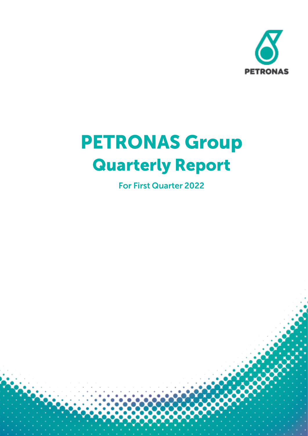

# **PETRONAS Group Quarterly Report**

**For First Quarter 2022**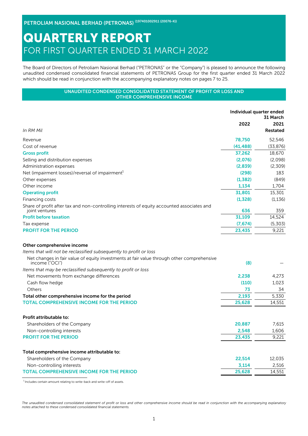PETROLIAM NASIONAL BERHAD (PETRONAS) (197401002911 (20076-K))

# QUARTERLY REPORT FOR FIRST QUARTER ENDED 31 MARCH 2022

The Board of Directors of Petroliam Nasional Berhad ("PETRONAS" or the "Company") is pleased to announce the following unaudited condensed consolidated financial statements of PETRONAS Group for the first quarter ended 31 March 2022 which should be read in conjunction with the accompanying explanatory notes on pages 7 to 25.

#### UNAUDITED CONDENSED CONSOLIDATED STATEMENT OF PROFIT OR LOSS AND OTHER COMPREHENSIVE INCOME

|                                                                                                              |           | Individual quarter ended<br>31 March |
|--------------------------------------------------------------------------------------------------------------|-----------|--------------------------------------|
|                                                                                                              | 2022      | 2021                                 |
| In RM Mil                                                                                                    |           | <b>Restated</b>                      |
| Revenue                                                                                                      | 78,750    | 52,546                               |
| Cost of revenue                                                                                              | (41, 488) | (33, 876)                            |
| <b>Gross profit</b>                                                                                          | 37,262    | 18,670                               |
| Selling and distribution expenses                                                                            | (2,076)   | (2.098)                              |
| Administration expenses                                                                                      | (2,839)   | (2.309)                              |
| Net (impairment losses)/reversal of impairment                                                               | (298)     | 183                                  |
| Other expenses                                                                                               | (1, 382)  | (849)                                |
| Other income                                                                                                 | 1,134     | 1,704                                |
| <b>Operating profit</b>                                                                                      | 31,801    | 15,301                               |
| Financing costs                                                                                              | (1,328)   | (1, 136)                             |
| Share of profit after tax and non-controlling interests of equity accounted associates and<br>joint ventures | 636       | 359                                  |
| <b>Profit before taxation</b>                                                                                | 31,109    | 14,524                               |
| Tax expense                                                                                                  | (7,674)   | (5,303)                              |
| <b>PROFIT FOR THE PERIOD</b>                                                                                 | 23,435    | 9,221                                |
| Other comprehensive income                                                                                   |           |                                      |
| Items that will not be reclassified subsequently to profit or loss                                           |           |                                      |
| Net changes in fair value of equity investments at fair value through other comprehensive<br>income ("OCI")  | (8)       |                                      |
| Items that may be reclassified subsequently to profit or loss                                                |           |                                      |
| Net movements from exchange differences                                                                      | 2,238     | 4,273                                |
| Cash flow hedge                                                                                              | (110)     | 1,023                                |
| Others                                                                                                       | 73        | 34                                   |
| Total other comprehensive income for the period                                                              | 2,193     | 5.330                                |
| <b>TOTAL COMPREHENSIVE INCOME FOR THE PERIOD</b>                                                             | 25,628    | 14,551                               |
| Profit attributable to:                                                                                      |           |                                      |
| Shareholders of the Company                                                                                  | 20,887    | 7.615                                |
| Non-controlling interests                                                                                    | 2,548     | 1,606                                |
| <b>PROFIT FOR THE PERIOD</b>                                                                                 | 23,435    | 9,221                                |
|                                                                                                              |           |                                      |
| Total comprehensive income attributable to:                                                                  |           |                                      |
| Shareholders of the Company                                                                                  | 22,514    | 12.035                               |
| Non-controlling interests                                                                                    | 3,114     | 2,516                                |
| <b>TOTAL COMPREHENSIVE INCOME FOR THE PERIOD</b>                                                             | 25,628    | 14,551                               |
|                                                                                                              |           |                                      |

 $1$ Includes certain amount relating to write-back and write-off of assets.

*The unaudited condensed consolidated statement of profit or loss and other comprehensive income should be read in conjunction with the accompanying explanatory notes attached to these condensed consolidated financial statements.*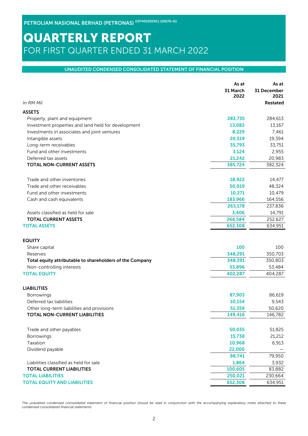### UNAUDITED CONDENSED CONSOLIDATED STATEMENT OF FINANCIAL POSITION

|                                                          | As at            | As at               |
|----------------------------------------------------------|------------------|---------------------|
|                                                          | 31 March<br>2022 | 31 December<br>2021 |
| In RM Mil                                                |                  | Restated            |
| <b>ASSETS</b>                                            |                  |                     |
| Property, plant and equipment                            | 283,735          | 284,613             |
| Investment properties and land held for development      | 13,082           | 13,167              |
| Investments in associates and joint ventures             | 8,229            | 7,461               |
| Intangible assets                                        | 20,519           | 19,394              |
| Long-term receivables                                    | 35,793           | 33,751              |
| Fund and other investments                               | 3,124            | 2,955               |
| Deferred tax assets                                      | 21,242           | 20,983              |
| <b>TOTAL NON-CURRENT ASSETS</b>                          | 385,724          | 382,324             |
| Trade and other inventories                              | 18,922           | 14,477              |
| Trade and other receivables                              | 50,019           | 48,324              |
| Fund and other investments                               | 10,271           | 10,479              |
| Cash and cash equivalents                                | 183,966          | 164,556             |
|                                                          | 263,178          | 237,836             |
| Assets classified as held for sale                       | 3,406            | 14,791              |
| <b>TOTAL CURRENT ASSETS</b>                              | 266,584          | 252,627             |
| <b>TOTAL ASSETS</b>                                      | 652,308          | 634,951             |
| <b>EQUITY</b>                                            |                  |                     |
| Share capital                                            | 100              | 100                 |
| Reserves                                                 | 348,291          | 350,703             |
| Total equity attributable to shareholders of the Company | 348,391          | 350,803             |
| Non-controlling interests                                | 53,896           | 53,484              |
| <b>TOTAL EQUITY</b>                                      | 402,287          | 404,287             |
| <b>LIABILITIES</b>                                       |                  |                     |
| Borrowings                                               | 87,903           | 86,619              |
| Deferred tax liabilities                                 | 10,154           | 9,543               |
| Other long-term liabilities and provisions               | 51,359           | 50,620              |
| <b>TOTAL NON-CURRENT LIABILITIES</b>                     | 149,416          | 146,782             |
| Trade and other payables                                 | 50,035           | 51,825              |
| Borrowings                                               | 15,738           | 21,212              |
| Taxation                                                 | 10,968           | 6,913               |
| Dividend payable                                         | 22,000           |                     |
|                                                          | 98,741           | 79,950              |
| Liabilities classified as held for sale                  | 1,864            | 3,932               |
| <b>TOTAL CURRENT LIABILITIES</b>                         | 100,605          | 83,882              |
| <b>TOTAL LIABILITIES</b>                                 | 250,021          | 230,664             |
| <b>TOTAL EQUITY AND LIABILITIES</b>                      | 652,308          | 634,951             |

*The unaudited condensed consolidated statement of financial position should be read in conjunction with the accompanying explanatory notes attached to these condensed consolidated financial statements.*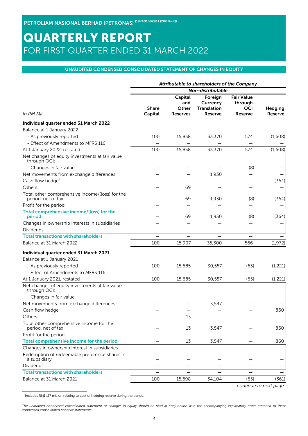#### UNAUDITED CONDENSED CONSOLIDATED STATEMENT OF CHANGES IN EQUITY

| Non-distributable<br><b>Fair Value</b><br>Capital<br>Foreign<br>Currency<br>and<br>through<br><b>Share</b><br>Translation<br><b>OCI</b><br>Other<br>Hedging<br>In RM Mil<br>Capital<br>Reserve<br><b>Reserve</b><br>Reserve<br><b>Reserves</b><br>Individual quarter ended 31 March 2022<br>Balance at 1 January 2022<br>- As previously reported<br>100<br>15,838<br>33,370<br>574<br>(1,608)<br>- Effect of Amendments to MFRS 116<br>15,838<br>33,370<br>At 1 January 2022, restated<br>100<br>574<br>(1,608)<br>Net changes of equity investments at fair value<br>through OCI:<br>- Changes in fair value<br>(8)<br>Net movements from exchange differences<br>1,930<br>Cash flow hedge <sup>2</sup><br>(364)<br>69<br>69<br>1,930<br>(8)<br>period, net of tax<br>(364)<br>69<br>1,930<br>(8)<br>(364)<br>period<br>100<br>15,907<br>35,300<br>566<br>(1,972)<br>Individual quarter ended 31 March 2021<br>Balance at 1 January 2021<br>100<br>- As previously reported<br>15,685<br>30,557<br>(65)<br>(1, 221)<br>- Effect of Amendments to MFRS 116<br>100<br>15,685<br>30,557<br>(65)<br>(1, 221)<br>At 1 January 2021, restated<br>through OCI:<br>- Changes in fair value<br>Net movements from exchange differences<br>3,547<br>Cash flow hedge<br>860<br>Others<br>13<br>Total other comprehensive income for the<br>860<br>period, net of tax<br>13<br>3,547<br>Profit for the period<br>Total comprehensive income for the period<br>3,547<br>13<br>860<br>Changes in ownership interest in subsidiaries<br>a subsidiary<br>Dividends<br><b>Total transactions with shareholders</b><br>Balance at 31 March 2021<br>100<br>15,698<br>34,104<br>(65)<br>(361) |                                                 |  | Attributable to shareholders of the Company |  |
|-----------------------------------------------------------------------------------------------------------------------------------------------------------------------------------------------------------------------------------------------------------------------------------------------------------------------------------------------------------------------------------------------------------------------------------------------------------------------------------------------------------------------------------------------------------------------------------------------------------------------------------------------------------------------------------------------------------------------------------------------------------------------------------------------------------------------------------------------------------------------------------------------------------------------------------------------------------------------------------------------------------------------------------------------------------------------------------------------------------------------------------------------------------------------------------------------------------------------------------------------------------------------------------------------------------------------------------------------------------------------------------------------------------------------------------------------------------------------------------------------------------------------------------------------------------------------------------------------------------------------------------------------------------------------------|-------------------------------------------------|--|---------------------------------------------|--|
|                                                                                                                                                                                                                                                                                                                                                                                                                                                                                                                                                                                                                                                                                                                                                                                                                                                                                                                                                                                                                                                                                                                                                                                                                                                                                                                                                                                                                                                                                                                                                                                                                                                                             |                                                 |  |                                             |  |
|                                                                                                                                                                                                                                                                                                                                                                                                                                                                                                                                                                                                                                                                                                                                                                                                                                                                                                                                                                                                                                                                                                                                                                                                                                                                                                                                                                                                                                                                                                                                                                                                                                                                             |                                                 |  |                                             |  |
|                                                                                                                                                                                                                                                                                                                                                                                                                                                                                                                                                                                                                                                                                                                                                                                                                                                                                                                                                                                                                                                                                                                                                                                                                                                                                                                                                                                                                                                                                                                                                                                                                                                                             |                                                 |  |                                             |  |
|                                                                                                                                                                                                                                                                                                                                                                                                                                                                                                                                                                                                                                                                                                                                                                                                                                                                                                                                                                                                                                                                                                                                                                                                                                                                                                                                                                                                                                                                                                                                                                                                                                                                             |                                                 |  |                                             |  |
|                                                                                                                                                                                                                                                                                                                                                                                                                                                                                                                                                                                                                                                                                                                                                                                                                                                                                                                                                                                                                                                                                                                                                                                                                                                                                                                                                                                                                                                                                                                                                                                                                                                                             |                                                 |  |                                             |  |
|                                                                                                                                                                                                                                                                                                                                                                                                                                                                                                                                                                                                                                                                                                                                                                                                                                                                                                                                                                                                                                                                                                                                                                                                                                                                                                                                                                                                                                                                                                                                                                                                                                                                             |                                                 |  |                                             |  |
|                                                                                                                                                                                                                                                                                                                                                                                                                                                                                                                                                                                                                                                                                                                                                                                                                                                                                                                                                                                                                                                                                                                                                                                                                                                                                                                                                                                                                                                                                                                                                                                                                                                                             |                                                 |  |                                             |  |
|                                                                                                                                                                                                                                                                                                                                                                                                                                                                                                                                                                                                                                                                                                                                                                                                                                                                                                                                                                                                                                                                                                                                                                                                                                                                                                                                                                                                                                                                                                                                                                                                                                                                             |                                                 |  |                                             |  |
|                                                                                                                                                                                                                                                                                                                                                                                                                                                                                                                                                                                                                                                                                                                                                                                                                                                                                                                                                                                                                                                                                                                                                                                                                                                                                                                                                                                                                                                                                                                                                                                                                                                                             |                                                 |  |                                             |  |
|                                                                                                                                                                                                                                                                                                                                                                                                                                                                                                                                                                                                                                                                                                                                                                                                                                                                                                                                                                                                                                                                                                                                                                                                                                                                                                                                                                                                                                                                                                                                                                                                                                                                             |                                                 |  |                                             |  |
|                                                                                                                                                                                                                                                                                                                                                                                                                                                                                                                                                                                                                                                                                                                                                                                                                                                                                                                                                                                                                                                                                                                                                                                                                                                                                                                                                                                                                                                                                                                                                                                                                                                                             |                                                 |  |                                             |  |
|                                                                                                                                                                                                                                                                                                                                                                                                                                                                                                                                                                                                                                                                                                                                                                                                                                                                                                                                                                                                                                                                                                                                                                                                                                                                                                                                                                                                                                                                                                                                                                                                                                                                             |                                                 |  |                                             |  |
|                                                                                                                                                                                                                                                                                                                                                                                                                                                                                                                                                                                                                                                                                                                                                                                                                                                                                                                                                                                                                                                                                                                                                                                                                                                                                                                                                                                                                                                                                                                                                                                                                                                                             | Others                                          |  |                                             |  |
|                                                                                                                                                                                                                                                                                                                                                                                                                                                                                                                                                                                                                                                                                                                                                                                                                                                                                                                                                                                                                                                                                                                                                                                                                                                                                                                                                                                                                                                                                                                                                                                                                                                                             | Total other comprehensive income/(loss) for the |  |                                             |  |
|                                                                                                                                                                                                                                                                                                                                                                                                                                                                                                                                                                                                                                                                                                                                                                                                                                                                                                                                                                                                                                                                                                                                                                                                                                                                                                                                                                                                                                                                                                                                                                                                                                                                             | Profit for the period                           |  |                                             |  |
|                                                                                                                                                                                                                                                                                                                                                                                                                                                                                                                                                                                                                                                                                                                                                                                                                                                                                                                                                                                                                                                                                                                                                                                                                                                                                                                                                                                                                                                                                                                                                                                                                                                                             | Total comprehensive income/(loss) for the       |  |                                             |  |
|                                                                                                                                                                                                                                                                                                                                                                                                                                                                                                                                                                                                                                                                                                                                                                                                                                                                                                                                                                                                                                                                                                                                                                                                                                                                                                                                                                                                                                                                                                                                                                                                                                                                             | Changes in ownership interests in subsidiaries  |  |                                             |  |
|                                                                                                                                                                                                                                                                                                                                                                                                                                                                                                                                                                                                                                                                                                                                                                                                                                                                                                                                                                                                                                                                                                                                                                                                                                                                                                                                                                                                                                                                                                                                                                                                                                                                             | Dividends                                       |  |                                             |  |
|                                                                                                                                                                                                                                                                                                                                                                                                                                                                                                                                                                                                                                                                                                                                                                                                                                                                                                                                                                                                                                                                                                                                                                                                                                                                                                                                                                                                                                                                                                                                                                                                                                                                             | <b>Total transactions with shareholders</b>     |  |                                             |  |
|                                                                                                                                                                                                                                                                                                                                                                                                                                                                                                                                                                                                                                                                                                                                                                                                                                                                                                                                                                                                                                                                                                                                                                                                                                                                                                                                                                                                                                                                                                                                                                                                                                                                             | Balance at 31 March 2022                        |  |                                             |  |
|                                                                                                                                                                                                                                                                                                                                                                                                                                                                                                                                                                                                                                                                                                                                                                                                                                                                                                                                                                                                                                                                                                                                                                                                                                                                                                                                                                                                                                                                                                                                                                                                                                                                             |                                                 |  |                                             |  |
|                                                                                                                                                                                                                                                                                                                                                                                                                                                                                                                                                                                                                                                                                                                                                                                                                                                                                                                                                                                                                                                                                                                                                                                                                                                                                                                                                                                                                                                                                                                                                                                                                                                                             |                                                 |  |                                             |  |
|                                                                                                                                                                                                                                                                                                                                                                                                                                                                                                                                                                                                                                                                                                                                                                                                                                                                                                                                                                                                                                                                                                                                                                                                                                                                                                                                                                                                                                                                                                                                                                                                                                                                             |                                                 |  |                                             |  |
|                                                                                                                                                                                                                                                                                                                                                                                                                                                                                                                                                                                                                                                                                                                                                                                                                                                                                                                                                                                                                                                                                                                                                                                                                                                                                                                                                                                                                                                                                                                                                                                                                                                                             |                                                 |  |                                             |  |
|                                                                                                                                                                                                                                                                                                                                                                                                                                                                                                                                                                                                                                                                                                                                                                                                                                                                                                                                                                                                                                                                                                                                                                                                                                                                                                                                                                                                                                                                                                                                                                                                                                                                             |                                                 |  |                                             |  |
|                                                                                                                                                                                                                                                                                                                                                                                                                                                                                                                                                                                                                                                                                                                                                                                                                                                                                                                                                                                                                                                                                                                                                                                                                                                                                                                                                                                                                                                                                                                                                                                                                                                                             | Net changes of equity investments at fair value |  |                                             |  |
|                                                                                                                                                                                                                                                                                                                                                                                                                                                                                                                                                                                                                                                                                                                                                                                                                                                                                                                                                                                                                                                                                                                                                                                                                                                                                                                                                                                                                                                                                                                                                                                                                                                                             |                                                 |  |                                             |  |
|                                                                                                                                                                                                                                                                                                                                                                                                                                                                                                                                                                                                                                                                                                                                                                                                                                                                                                                                                                                                                                                                                                                                                                                                                                                                                                                                                                                                                                                                                                                                                                                                                                                                             |                                                 |  |                                             |  |
|                                                                                                                                                                                                                                                                                                                                                                                                                                                                                                                                                                                                                                                                                                                                                                                                                                                                                                                                                                                                                                                                                                                                                                                                                                                                                                                                                                                                                                                                                                                                                                                                                                                                             |                                                 |  |                                             |  |
|                                                                                                                                                                                                                                                                                                                                                                                                                                                                                                                                                                                                                                                                                                                                                                                                                                                                                                                                                                                                                                                                                                                                                                                                                                                                                                                                                                                                                                                                                                                                                                                                                                                                             |                                                 |  |                                             |  |
|                                                                                                                                                                                                                                                                                                                                                                                                                                                                                                                                                                                                                                                                                                                                                                                                                                                                                                                                                                                                                                                                                                                                                                                                                                                                                                                                                                                                                                                                                                                                                                                                                                                                             |                                                 |  |                                             |  |
|                                                                                                                                                                                                                                                                                                                                                                                                                                                                                                                                                                                                                                                                                                                                                                                                                                                                                                                                                                                                                                                                                                                                                                                                                                                                                                                                                                                                                                                                                                                                                                                                                                                                             |                                                 |  |                                             |  |
|                                                                                                                                                                                                                                                                                                                                                                                                                                                                                                                                                                                                                                                                                                                                                                                                                                                                                                                                                                                                                                                                                                                                                                                                                                                                                                                                                                                                                                                                                                                                                                                                                                                                             |                                                 |  |                                             |  |
|                                                                                                                                                                                                                                                                                                                                                                                                                                                                                                                                                                                                                                                                                                                                                                                                                                                                                                                                                                                                                                                                                                                                                                                                                                                                                                                                                                                                                                                                                                                                                                                                                                                                             |                                                 |  |                                             |  |
|                                                                                                                                                                                                                                                                                                                                                                                                                                                                                                                                                                                                                                                                                                                                                                                                                                                                                                                                                                                                                                                                                                                                                                                                                                                                                                                                                                                                                                                                                                                                                                                                                                                                             | Redemption of redeemable preference shares in   |  |                                             |  |
|                                                                                                                                                                                                                                                                                                                                                                                                                                                                                                                                                                                                                                                                                                                                                                                                                                                                                                                                                                                                                                                                                                                                                                                                                                                                                                                                                                                                                                                                                                                                                                                                                                                                             |                                                 |  |                                             |  |
|                                                                                                                                                                                                                                                                                                                                                                                                                                                                                                                                                                                                                                                                                                                                                                                                                                                                                                                                                                                                                                                                                                                                                                                                                                                                                                                                                                                                                                                                                                                                                                                                                                                                             |                                                 |  |                                             |  |
|                                                                                                                                                                                                                                                                                                                                                                                                                                                                                                                                                                                                                                                                                                                                                                                                                                                                                                                                                                                                                                                                                                                                                                                                                                                                                                                                                                                                                                                                                                                                                                                                                                                                             |                                                 |  |                                             |  |

*continue to next page*

 $2$  Includes RM1,117 million relating to cost of hedging reserve during the period.

*The unaudited condensed consolidated statement of changes in equity should be read in conjunction with the accompanying explanatory notes attached to these condensed consolidated financial statements.*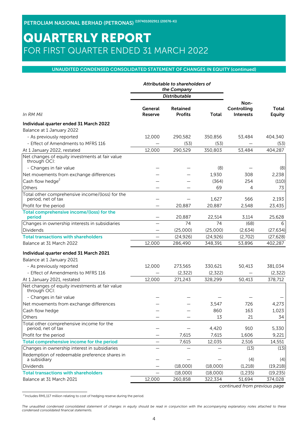### UNAUDITED CONDENSED CONSOLIDATED STATEMENT OF CHANGES IN EQUITY (continued)

|                                                                       | Attributable to shareholders of<br>the Company |                                   |           |                                 |                        |
|-----------------------------------------------------------------------|------------------------------------------------|-----------------------------------|-----------|---------------------------------|------------------------|
|                                                                       |                                                | <b>Distributable</b>              |           |                                 |                        |
|                                                                       |                                                |                                   |           | Non-                            |                        |
| In RM Mil                                                             | General<br><b>Reserve</b>                      | <b>Retained</b><br><b>Profits</b> | Total     | Controlling<br><b>Interests</b> | Total<br><b>Equity</b> |
| Individual quarter ended 31 March 2022                                |                                                |                                   |           |                                 |                        |
| Balance at 1 January 2022                                             |                                                |                                   |           |                                 |                        |
| - As previously reported                                              | 12,000                                         | 290,582                           | 350,856   | 53,484                          | 404,340                |
| - Effect of Amendments to MFRS 116                                    |                                                | (53)                              | (53)      |                                 | (53)                   |
| At 1 January 2022, restated                                           | 12,000                                         | 290,529                           | 350,803   | 53,484                          | 404,287                |
| Net changes of equity investments at fair value<br>through OCI:       |                                                |                                   |           |                                 |                        |
| - Changes in fair value                                               |                                                |                                   | (8)       |                                 | (8)                    |
| Net movements from exchange differences                               |                                                |                                   | 1,930     | 308                             | 2,238                  |
| Cash flow hedge <sup>2</sup>                                          |                                                |                                   | (364)     | 254                             | (110)                  |
| Others                                                                |                                                |                                   | 69        | 4                               | 73                     |
| Total other comprehensive income/(loss) for the<br>period, net of tax |                                                |                                   | 1,627     | 566                             | 2,193                  |
| Profit for the period                                                 |                                                | 20,887                            | 20,887    | 2,548                           | 23,435                 |
| Total comprehensive income/(loss) for the<br>period                   |                                                | 20,887                            | 22,514    | 3,114                           | 25,628                 |
| Changes in ownership interests in subsidiaries                        |                                                | 74                                | 74        | (68)                            | 6                      |
| Dividends                                                             |                                                | (25,000)                          | (25,000)  | (2,634)                         | (27, 634)              |
| <b>Total transactions with shareholders</b>                           |                                                | (24, 926)                         | (24, 926) | (2,702)                         | (27, 628)              |
| Balance at 31 March 2022                                              | 12,000                                         | 286,490                           | 348,391   | 53,896                          | 402,287                |
| Individual quarter ended 31 March 2021                                |                                                |                                   |           |                                 |                        |
| Balance at 1 January 2021                                             |                                                |                                   |           |                                 |                        |
| - As previously reported                                              | 12,000                                         | 273,565                           | 330,621   | 50,413                          | 381,034                |
| - Effect of Amendments to MFRS 116                                    |                                                | (2,322)                           | (2,322)   |                                 | (2,322)                |
| At 1 January 2021, restated                                           | 12,000                                         | 271,243                           | 328,299   | 50,413                          | 378,712                |
| Net changes of equity investments at fair value<br>through OCI:       |                                                |                                   |           |                                 |                        |
| - Changes in fair value                                               |                                                |                                   |           |                                 |                        |
| Net movements from exchange differences                               |                                                |                                   | 3,547     | 726                             | 4,273                  |
| Cash flow hedge                                                       |                                                |                                   | 860       | 163                             | 1,023                  |
| Others                                                                |                                                |                                   | 13        | 21                              | 34                     |
| Total other comprehensive income for the<br>period, net of tax        |                                                |                                   | 4,420     | 910                             | 5,330                  |
| Profit for the period                                                 |                                                | 7,615                             | 7,615     | 1,606                           | 9,221                  |
| Total comprehensive income for the period                             |                                                | 7,615                             | 12,035    | 2,516                           | 14,551                 |
| Changes in ownership interest in subsidiaries                         |                                                |                                   |           | (13)                            | (13)                   |
| Redemption of redeemable preference shares in<br>a subsidiary         |                                                |                                   |           | (4)                             | (4)                    |
| Dividends                                                             |                                                | (18,000)                          | (18,000)  | (1, 218)                        | (19, 218)              |
| <b>Total transactions with shareholders</b>                           |                                                | (18,000)                          | (18,000)  | (1, 235)                        | (19, 235)              |
| Balance at 31 March 2021                                              | 12,000                                         | 260,858                           | 322,334   | 51,694                          | 374,028                |

*continued from previous page*

 $2$  Includes RM1,117 million relating to cost of hedging reserve during the period.

*The unaudited condensed consolidated statement of changes in equity should be read in conjunction with the accompanying explanatory notes attached to these condensed consolidated financial statements.*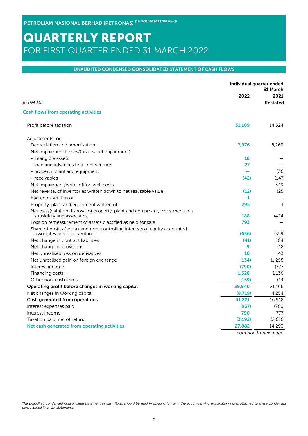#### UNAUDITED CONDENSED CONSOLIDATED STATEMENT OF CASH FLOWS

|                                                                                                              |          | Individual quarter ended<br>31 March |
|--------------------------------------------------------------------------------------------------------------|----------|--------------------------------------|
|                                                                                                              | 2022     | 2021                                 |
| In RM Mil                                                                                                    |          | <b>Restated</b>                      |
| <b>Cash flows from operating activities</b>                                                                  |          |                                      |
| Profit before taxation                                                                                       | 31,109   | 14,524                               |
| Adjustments for:                                                                                             |          |                                      |
| Depreciation and amortisation                                                                                | 7,976    | 8,269                                |
| Net impairment losses/(reversal of impairment):                                                              |          |                                      |
| - intangible assets                                                                                          | 18       |                                      |
| - loan and advances to a joint venture                                                                       | 27       |                                      |
| - property, plant and equipment                                                                              |          | (36)                                 |
| - receivables                                                                                                | (42)     | (147)                                |
| Net impairment/write-off on well costs                                                                       |          | 349                                  |
| Net reversal of inventories written down to net realisable value                                             | (12)     | (25)                                 |
| Bad debts written off                                                                                        | 1        |                                      |
| Property, plant and equipment written off                                                                    | 295      | $\mathbf{1}$                         |
| Net loss/(gain) on disposal of property, plant and equipment, investment in a<br>subsidiary and associates   | 188      | (424)                                |
| Loss on remeasurement of assets classified as held for sale                                                  | 793      |                                      |
| Share of profit after tax and non-controlling interests of equity accounted<br>associates and joint ventures | (636)    | (359)                                |
| Net change in contract liabilities                                                                           | (41)     | (104)                                |
| Net change in provisions                                                                                     | 9        | (12)                                 |
| Net unrealised loss on derivatives                                                                           | 10       | 43                                   |
| Net unrealised gain on foreign exchange                                                                      | (134)    | (1.258)                              |
| Interest income                                                                                              | (790)    | (777)                                |
| Financing costs                                                                                              | 1,328    | 1.136                                |
| Other non-cash items                                                                                         | (159)    | (14)                                 |
| Operating profit before changes in working capital                                                           | 39,940   | 21.166                               |
| Net changes in working capital                                                                               | (8,719)  | (4, 254)                             |
| Cash generated from operations                                                                               | 31,221   | 16,912                               |
| Interest expenses paid                                                                                       | (937)    | (780)                                |
| Interest income                                                                                              | 790      | 777                                  |
| Taxation paid, net of refund                                                                                 | (3, 192) | (2,616)                              |
| Net cash generated from operating activities                                                                 | 27,882   | 14,293                               |
|                                                                                                              |          |                                      |

*continue to next page*

*The unaudited condensed consolidated statement of cash flows should be read in conjunction with the accompanying explanatory notes attached to these condensed consolidated financial statements.*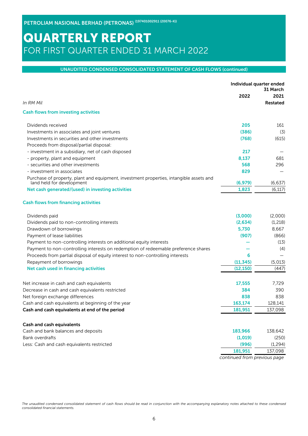### UNAUDITED CONDENSED CONSOLIDATED STATEMENT OF CASH FLOWS (continued)

|                                                                                                                      | Individual quarter ended | 31 March        |
|----------------------------------------------------------------------------------------------------------------------|--------------------------|-----------------|
|                                                                                                                      | 2022                     | 2021            |
| In RM Mil                                                                                                            |                          | <b>Restated</b> |
| <b>Cash flows from investing activities</b>                                                                          |                          |                 |
| Dividends received                                                                                                   | 205                      | 161             |
| Investments in associates and joint ventures                                                                         | (386)                    | (3)             |
| Investments in securities and other investments                                                                      | (768)                    | (615)           |
| Proceeds from disposal/partial disposal:                                                                             |                          |                 |
| - investment in a subsidiary, net of cash disposed                                                                   | 217                      |                 |
| - property, plant and equipment                                                                                      | 8,137                    | 681             |
| - securities and other investments                                                                                   | 568                      | 296             |
| - investment in associates                                                                                           | 829                      |                 |
| Purchase of property, plant and equipment, investment properties, intangible assets and<br>land held for development | (6, 979)                 | (6, 637)        |
| Net cash generated/(used) in investing activities                                                                    | 1,823                    | (6, 117)        |
| <b>Cash flows from financing activities</b>                                                                          |                          |                 |
| Dividends paid                                                                                                       | (3,000)                  | (2,000)         |
| Dividends paid to non-controlling interests                                                                          | (2.634)                  | (1,218)         |
| Drawdown of borrowings                                                                                               | 5,730                    | 8,667           |
| Payment of lease liabilities                                                                                         | (907)                    | (866)           |
| Payment to non-controlling interests on additional equity interests                                                  |                          | (13)            |
| Payment to non-controlling interests on redemption of redeemable preference shares                                   |                          | (4)             |
| Proceeds from partial disposal of equity interest to non-controlling interests                                       | 6                        |                 |
| Repayment of borrowings                                                                                              | (11, 345)                | (5,013)         |
| Net cash used in financing activities                                                                                | (12, 150)                | (447)           |
| Net increase in cash and cash equivalents                                                                            | 17,555                   | 7.729           |
| Decrease in cash and cash equivalents restricted                                                                     | 384                      | 390             |
| Net foreign exchange differences                                                                                     | 838                      | 838             |
| Cash and cash equivalents at beginning of the year                                                                   | 163,174                  | 128,141         |
| Cash and cash equivalents at end of the period                                                                       | 181,951                  | 137,098         |
| Cash and cash equivalents                                                                                            |                          |                 |
| Cash and bank balances and deposits                                                                                  | 183,966                  | 138,642         |
| Bank overdrafts                                                                                                      | (1,019)                  | (250)           |
| Less: Cash and cash equivalents restricted                                                                           | (996)                    | (1, 294)        |
|                                                                                                                      | 181,951                  | 137,098         |
|                                                                                                                      |                          |                 |

*continued from previous page*

*The unaudited condensed consolidated statement of cash flows should be read in conjunction with the accompanying explanatory notes attached to these condensed consolidated financial statements.*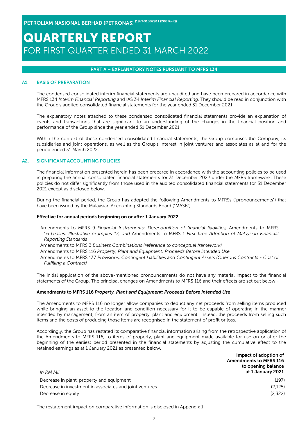### PART A – EXPLANATORY NOTES PURSUANT TO MFRS 134

#### A1. BASIS OF PREPARATION

The condensed consolidated interim financial statements are unaudited and have been prepared in accordance with MFRS 134 *Interim Financial Reporting* and IAS 34 *Interim Financial Reporting*. They should be read in conjunction with the Group's audited consolidated financial statements for the year ended 31 December 2021.

The explanatory notes attached to these condensed consolidated financial statements provide an explanation of events and transactions that are significant to an understanding of the changes in the financial position and performance of the Group since the year ended 31 December 2021.

Within the context of these condensed consolidated financial statements, the Group comprises the Company, its subsidiaries and joint operations, as well as the Group's interest in joint ventures and associates as at and for the period ended 31 March 2022.

### A2. SIGNIFICANT ACCOUNTING POLICIES

The financial information presented herein has been prepared in accordance with the accounting policies to be used in preparing the annual consolidated financial statements for 31 December 2022 under the MFRS framework. These policies do not differ significantly from those used in the audited consolidated financial statements for 31 December 2021 except as disclosed below.

During the financial period, the Group has adopted the following Amendments to MFRSs ("pronouncements") that have been issued by the Malaysian Accounting Standards Board ("MASB").

#### Effective for annual periods beginning on or after 1 January 2022

Amendments to MFRS 9 *Financial Instruments: Derecognition of financial liabilities,*  Amendments to MFRS 16 *Leases: Illustrative examples 13, and* Amendments to MFRS 1 *First-time Adoption of Malaysian Financial Reporting Standards*

Amendments to MFRS 3 *Business Combinations (reference to conceptual framework)*

- Amendments to MFRS 116 *Property, Plant and Equipment: Proceeds Before Intended Use*
- Amendments to MFRS 137 *Provisions, Contingent Liabilities and Contingent Assets (Onerous Contracts Cost of Fulfilling a Contract)*

The initial application of the above-mentioned pronouncements do not have any material impact to the financial statements of the Group. The principal changes on Amendments to MFRS 116 and their effects are set out below:-

#### Amendments to MFRS 116 *Property, Plant and Equipment: Proceeds Before Intended Use*

The Amendments to MFRS 116 no longer allow companies to deduct any net proceeds from selling items produced while bringing an asset to the location and condition necessary for it to be capable of operating in the manner intended by management, from an item of property, plant and equipment. Instead, the proceeds from selling such items and the costs of producing those items are recognised in the statement of profit or loss.

Accordingly, the Group has restated its comparative financial information arising from the retrospective application of the Amendments to MFRS 116, to items of property, plant and equipment made available for use on or after the beginning of the earliest period presented in the financial statements by adjusting the cumulative effect to the retained earnings as at 1 January 2021 as presented below.

| In RM Mil                                               | Impact of adoption of<br><b>Amendments to MFRS 116</b><br>to opening balance<br>at 1 January 2021 |
|---------------------------------------------------------|---------------------------------------------------------------------------------------------------|
| Decrease in plant, property and equipment               | (197)                                                                                             |
| Decrease in investment in associates and joint ventures | (2, 125)                                                                                          |
| Decrease in equity                                      | (2,322)                                                                                           |

The restatement impact on comparative information is disclosed in Appendix 1.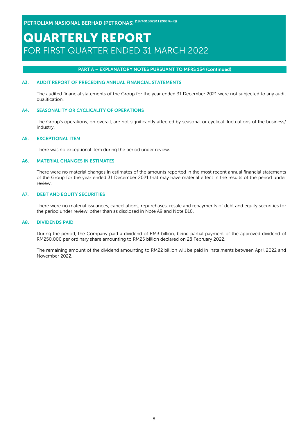### PART A – EXPLANATORY NOTES PURSUANT TO MFRS 134 (continued)

### A3. AUDIT REPORT OF PRECEDING ANNUAL FINANCIAL STATEMENTS

The audited financial statements of the Group for the year ended 31 December 2021 were not subjected to any audit qualification.

#### A4. SEASONALITY OR CYCLICALITY OF OPERATIONS

The Group's operations, on overall, are not significantly affected by seasonal or cyclical fluctuations of the business/ industry.

#### A5. EXCEPTIONAL ITEM

There was no exceptional item during the period under review.

#### A6. MATERIAL CHANGES IN ESTIMATES

There were no material changes in estimates of the amounts reported in the most recent annual financial statements of the Group for the year ended 31 December 2021 that may have material effect in the results of the period under review.

#### A7. DEBT AND EQUITY SECURITIES

There were no material issuances, cancellations, repurchases, resale and repayments of debt and equity securities for the period under review, other than as disclosed in Note A9 and Note B10.

#### A8. DIVIDENDS PAID

During the period, the Company paid a dividend of RM3 billion, being partial payment of the approved dividend of RM250,000 per ordinary share amounting to RM25 billion declared on 28 February 2022.

The remaining amount of the dividend amounting to RM22 billion will be paid in instalments between April 2022 and November 2022.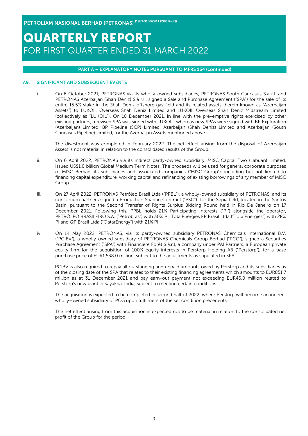### PART A – EXPLANATORY NOTES PURSUANT TO MFRS 134 (continued)

#### A9. SIGNIFICANT AND SUBSEQUENT EVENTS

i. On 6 October 2021, PETRONAS via its wholly-owned subsidiaries, PETRONAS South Caucasus S.à r.l. and PETRONAS Azerbaijan (Shah Deniz) S.à r.l., signed a Sale and Purchase Agreement ("SPA") for the sale of its entire 15.5% stake in the Shah Deniz offshore gas field and its related assets (herein known as "Azerbaijan Assets") to LUKOIL Overseas Shah Deniz Limited and LUKOIL Overseas Shah Deniz Midstream Limited (collectively as "LUKOIL"). On 10 December 2021, in line with the pre-emptive rights exercised by other existing partners, a revised SPA was signed with LUKOIL, whereas new SPAs were signed with BP Exploration (Azerbaijan) Limited, BP Pipeline (SCP) Limited, Azerbaijan (Shah Deniz) Limited and Azerbaijan (South Caucasus Pipeline) Limited, for the Azerbaijan Assets mentioned above.

The divestment was completed in February 2022. The net effect arising from the disposal of Azerbaijan Assets is not material in relation to the consolidated results of the Group.

- ii. On 6 April 2022, PETRONAS via its indirect partly-owned subsidiary, MISC Capital Two (Labuan) Limited, issued US\$1.0 billion Global Medium Term Notes. The proceeds will be used for general corporate purposes of MISC Berhad, its subsidiaries and associated companies ("MISC Group"), including but not limited to financing capital expenditure, working capital and refinancing of existing borrowings of any member of MISC Group.
- iii. On 27 April 2022, PETRONAS Petróleo Brasil Ltda ("PPBL"), a wholly-owned subsidiary of PETRONAS, and its consortium partners signed a Production Sharing Contract ("PSC") for the Sépia field, located in the Santos Basin, pursuant to the Second Transfer of Rights Surplus Bidding Round held in Rio De Janeiro on 17 December 2021. Following this, PPBL holds 21% Participating Interests ("PI") alongside the operator, PETRÓLEO BRASILEIRO S.A. ("Petrobras") with 30% PI, TotalEnergies EP Brasil Ltda ("TotalEnergies") with 28% PI and QP Brasil Ltda ("QatarEnergy") with 21% PI.
- iv. On 14 May 2022, PETRONAS, via its partly-owned subsidiary PETRONAS Chemicals International B.V. ("PCIBV"), a wholly-owned subsidiary of PETRONAS Chemicals Group Berhad ("PCG"), signed a Securities Purchase Agreement ("SPA") with Financière Forêt S.à.r.l, a company under PAI Partners, a European private equity firm for the acquisition of 100% equity interests in Perstorp Holding AB ("Perstorp"), for a base purchase price of EUR1,538.0 million, subject to the adjustments as stipulated in SPA.

PCIBV is also required to repay all outstanding and unpaid amounts owed by Perstorp and its subsidiaries as of the closing date of the SPA that relates to their existing financing agreements which amounts to EUR851.7 million as at 31 December 2021 and pay earn-out payment not exceeding EUR45.0 million related to Perstorp's new plant in Sayakha, India, subject to meeting certain conditions.

The acquisition is expected to be completed in second half of 2022, where Perstorp will become an indirect wholly-owned subsidiary of PCG upon fulfilment of the set condition precedents.

The net effect arising from this acquisition is expected not to be material in relation to the consolidated net profit of the Group for the period.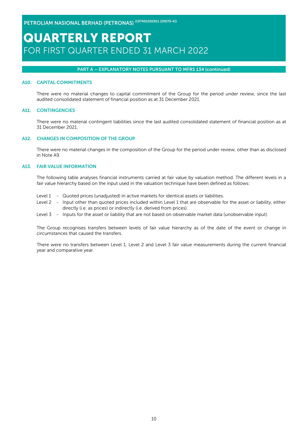### PART A – EXPLANATORY NOTES PURSUANT TO MFRS 134 (continued)

#### A10. CAPITAL COMMITMENTS

There were no material changes to capital commitment of the Group for the period under review, since the last audited consolidated statement of financial position as at 31 December 2021.

### A11. CONTINGENCIES

There were no material contingent liabilities since the last audited consolidated statement of financial position as at 31 December 2021.

#### A12. CHANGES IN COMPOSITION OF THE GROUP

There were no material changes in the composition of the Group for the period under review, other than as disclosed in Note A9.

#### A13. FAIR VALUE INFORMATION

The following table analyses financial instruments carried at fair value by valuation method. The different levels in a fair value hierarchy based on the input used in the valuation technique have been defined as follows:

- Level 1 Quoted prices (unadjusted) in active markets for identical assets or liabilities.
- Level 2 Input other than quoted prices included within Level 1 that are observable for the asset or liability, either directly (i.e. as prices) or indirectly (i.e. derived from prices).
- Level 3 Inputs for the asset or liability that are not based on observable market data (unobservable input).

The Group recognises transfers between levels of fair value hierarchy as of the date of the event or change in circumstances that caused the transfers.

There were no transfers between Level 1, Level 2 and Level 3 fair value measurements during the current financial year and comparative year.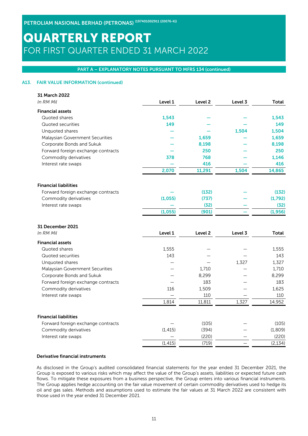### PART A – EXPLANATORY NOTES PURSUANT TO MFRS 134 (continued)

### A13. FAIR VALUE INFORMATION (continued)

| 31 March 2022                      |          |                    |         |          |
|------------------------------------|----------|--------------------|---------|----------|
| In RM Mil                          | Level 1  | Level <sub>2</sub> | Level 3 | Total    |
| <b>Financial assets</b>            |          |                    |         |          |
| Quoted shares                      | 1,543    |                    |         | 1,543    |
| Quoted securities                  | 149      |                    |         | 149      |
| Unquoted shares                    |          |                    | 1,504   | 1,504    |
| Malaysian Government Securities    |          | 1.659              |         | 1,659    |
| Corporate Bonds and Sukuk          |          | 8,198              |         | 8,198    |
| Forward foreign exchange contracts |          | 250                |         | 250      |
| Commodity derivatives              | 378      | 768                |         | 1,146    |
| Interest rate swaps                |          | 416                |         | 416      |
|                                    | 2,070    | 11,291             | 1,504   | 14,865   |
| <b>Financial liabilities</b>       |          |                    |         |          |
| Forward foreign exchange contracts |          | (132)              |         | (132)    |
| Commodity derivatives              | (1,055)  | (737)              |         | (1,792)  |
| Interest rate swaps                |          | (32)               |         | (32)     |
|                                    | (1,055)  | (901)              |         | (1,956)  |
| 31 December 2021                   |          |                    |         |          |
| In RM Mil                          | Level 1  | Level <sub>2</sub> | Level 3 | Total    |
| <b>Financial assets</b>            |          |                    |         |          |
| Quoted shares                      | 1,555    |                    |         | 1,555    |
| Quoted securities                  | 143      |                    |         | 143      |
| Unquoted shares                    |          |                    | 1,327   | 1,327    |
| Malaysian Government Securities    |          | 1.710              |         | 1,710    |
| Corporate Bonds and Sukuk          |          | 8,299              |         | 8,299    |
| Forward foreign exchange contracts |          | 183                |         | 183      |
| Commodity derivatives              | 116      | 1,509              |         | 1,625    |
| Interest rate swaps                |          | 110                |         | 110      |
|                                    | 1,814    | 11,811             | 1,327   | 14,952   |
| <b>Financial liabilities</b>       |          |                    |         |          |
| Forward foreign exchange contracts |          | (105)              |         | (105)    |
| Commodity derivatives              | (1, 415) | (394)              |         | (1,809)  |
| Interest rate swaps                |          | (220)              |         | (220)    |
|                                    | (1, 415) | (719)              |         | (2, 134) |

### Derivative financial instruments

As disclosed in the Group's audited consolidated financial statements for the year ended 31 December 2021, the Group is exposed to various risks which may affect the value of the Group's assets, liabilities or expected future cash flows. To mitigate these exposures from a business perspective, the Group enters into various financial instruments. The Group applies hedge accounting on the fair value movement of certain commodity derivatives used to hedge its oil and gas sales. Methods and assumptions used to estimate the fair values at 31 March 2022 are consistent with those used in the year ended 31 December 2021.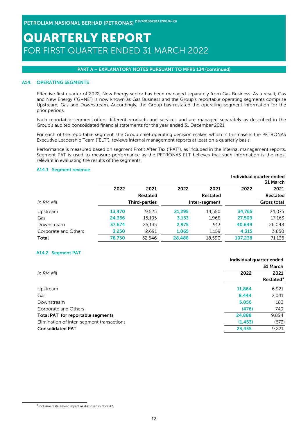#### PART A – EXPLANATORY NOTES PURSUANT TO MFRS 134 (continued)

#### A14. OPERATING SEGMENTS

Effective first quarter of 2022, New Energy sector has been managed separately from Gas Business. As a result, Gas and New Energy ("G+NE") is now known as Gas Business and the Group's reportable operating segments comprise Upstream, Gas and Downstream. Accordingly, the Group has restated the operating segment information for the prior periods.

Each reportable segment offers different products and services and are managed separately as described in the Group's audited consolidated financial statements for the year ended 31 December 2021.

For each of the reportable segment, the Group chief operating decision maker, which in this case is the PETRONAS Executive Leadership Team ("ELT"), reviews internal management reports at least on a quarterly basis.

Performance is measured based on segment Profit After Tax ("PAT"), as included in the internal management reports. Segment PAT is used to measure performance as the PETRONAS ELT believes that such information is the most relevant in evaluating the results of the segments.

Individual quarter ended

#### A14.1 Segment revenue

|                      |        |                      |        |               |         | 31 March           |
|----------------------|--------|----------------------|--------|---------------|---------|--------------------|
|                      | 2022   | 2021                 | 2022   | 2021          | 2022    | 2021               |
|                      |        | <b>Restated</b>      |        | Restated      |         | Restated           |
| In RM Mil            |        | <b>Third-parties</b> |        | Inter-segment |         | <b>Gross total</b> |
| Upstream             | 13,470 | 9.525                | 21,295 | 14.550        | 34,765  | 24.075             |
| Gas                  | 24,356 | 15,195               | 3,153  | 1,968         | 27,509  | 17,163             |
| Downstream           | 37,674 | 25.135               | 2.975  | 913           | 40,649  | 26,048             |
| Corporate and Others | 3,250  | 2,691                | 1,065  | 1,159         | 4.315   | 3,850              |
| Total                | 78,750 | 52.546               | 28,488 | 18.590        | 107,238 | 71,136             |

#### A14.2 Segment PAT

|                                           | Individual quarter ended |                       |
|-------------------------------------------|--------------------------|-----------------------|
|                                           |                          | 31 March              |
| In RM Mil                                 | 2022                     | 2021                  |
|                                           |                          | Restated <sup>3</sup> |
| Upstream                                  | 11,864                   | 6,921                 |
| Gas                                       | 8,444                    | 2,041                 |
| Downstream                                | 5,056                    | 183                   |
| Corporate and Others                      | (476)                    | 749                   |
| Total PAT for reportable segments         | 24,888                   | 9,894                 |
| Elimination of inter-segment transactions | (1, 453)                 | (673)                 |
| <b>Consolidated PAT</b>                   | 23,435                   | 9,221                 |

 $3$  Inclusive restatement impact as disclosed in Note A2.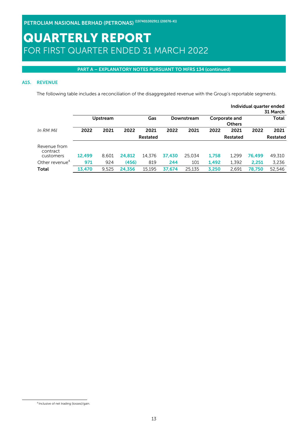### PART A – EXPLANATORY NOTES PURSUANT TO MFRS 134 (continued)

### A15. REVENUE

The following table includes a reconciliation of the disaggregated revenue with the Group's reportable segments.

|                            |        |                 |        |                 |        |            |       |                                |        | Individual quarter ended<br>31 March |
|----------------------------|--------|-----------------|--------|-----------------|--------|------------|-------|--------------------------------|--------|--------------------------------------|
|                            |        | <b>Upstream</b> |        | Gas             |        | Downstream |       | Corporate and<br><b>Others</b> |        | Total                                |
| In RM Mil                  | 2022   | 2021            | 2022   | 2021            | 2022   | 2021       | 2022  | 2021                           | 2022   | 2021                                 |
|                            |        |                 |        | <b>Restated</b> |        |            |       | Restated                       |        | Restated                             |
| Revenue from<br>contract   |        |                 |        |                 |        |            |       |                                |        |                                      |
| customers                  | 12,499 | 8.601           | 24,812 | 14.376          | 37.430 | 25.034     | 1,758 | 1.299                          | 76.499 | 49,310                               |
| Other revenue <sup>4</sup> | 971    | 924             | (456)  | 819             | 244    | 101        | 1,492 | 1,392                          | 2.251  | 3.236                                |
| <b>Total</b>               | 13.470 | 9.525           | 24,356 | 15.195          | 37.674 | 25.135     | 3.250 | 2.691                          | 78.750 | 52.546                               |

 $<sup>4</sup>$  Inclusive of net trading (losses)/gain.</sup>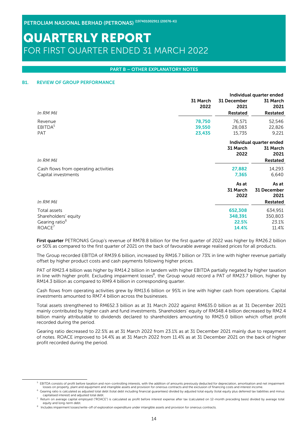#### PART B – OTHER EXPLANATORY NOTES

#### B1. REVIEW OF GROUP PERFORMANCE

|                                      |                  | Individual quarter ended |                          |  |  |
|--------------------------------------|------------------|--------------------------|--------------------------|--|--|
|                                      | 31 March<br>2022 | 31 December<br>2021      | 31 March<br>2021         |  |  |
| In RM Mil                            |                  | <b>Restated</b>          | <b>Restated</b>          |  |  |
| Revenue                              | 78,750           | 76,571                   | 52,546                   |  |  |
| EBITDA <sup>5</sup>                  | 39,550           | 28,083                   | 22,826                   |  |  |
| <b>PAT</b>                           | 23,435           | 15,735                   | 9,221                    |  |  |
|                                      |                  |                          | Individual quarter ended |  |  |
|                                      |                  | 31 March                 | 31 March                 |  |  |
|                                      |                  | 2022                     | 2021                     |  |  |
| In RM Mil                            |                  |                          | Restated                 |  |  |
| Cash flows from operating activities |                  | 27,882                   | 14,293                   |  |  |
| Capital investments                  |                  | 7,365                    | 6,640                    |  |  |
|                                      |                  | As at                    | As at                    |  |  |
|                                      |                  | 31 March                 | 31 December              |  |  |
|                                      |                  | 2022                     | 2021                     |  |  |
| In RM Mil                            |                  |                          | <b>Restated</b>          |  |  |
| Total assets                         |                  | 652,308                  | 634,951                  |  |  |
| Shareholders' equity                 |                  | 348,391                  | 350,803                  |  |  |
| Gearing ratio <sup>6</sup>           |                  | 22.5%                    | 23.1%                    |  |  |
| ROACE <sup>7</sup>                   |                  | 14.4%                    | 11.4%                    |  |  |

First quarter PETRONAS Group's revenue of RM78.8 billion for the first quarter of 2022 was higher by RM26.2 billion or 50% as compared to the first quarter of 2021 on the back of favourable average realised prices for all products.

The Group recorded EBITDA of RM39.6 billion, increased by RM16.7 billion or 73% in line with higher revenue partially offset by higher product costs and cash payments following higher prices.

PAT of RM23.4 billion was higher by RM14.2 billion in tandem with higher EBITDA partially negated by higher taxation in line with higher profit. Excluding impairment losses<sup>8</sup>, the Group would record a PAT of RM23.7 billion, higher by RM14.3 billion as compared to RM9.4 billion in corresponding quarter.

Cash flows from operating activities grew by RM13.6 billion or 95% in line with higher cash from operations. Capital investments amounted to RM7.4 billion across the businesses.

Total assets strengthened to RM652.3 billion as at 31 March 2022 against RM635.0 billion as at 31 December 2021 mainly contributed by higher cash and fund investments. Shareholders' equity of RM348.4 billion decreased by RM2.4 billion mainly attributable to dividends declared to shareholders amounting to RM25.0 billion which offset profit recorded during the period.

Gearing ratio decreased to 22.5% as at 31 March 2022 from 23.1% as at 31 December 2021 mainly due to repayment of notes. ROACE improved to 14.4% as at 31 March 2022 from 11.4% as at 31 December 2021 on the back of higher profit recorded during the period.

 $^5$  EBITDA consists of profit before taxation and non-controlling interests, with the addition of amounts previously deducted for depreciation, amortisation and net impairment losses on property, plant and equipment and intangible assets and provision for onerous contracts and the exclusion of financing costs and interest income

<sup>6</sup> Gearing ratio is calculated as adjusted total debt (total debt including financial guarantees) divided by adjusted total equity (total equity plus deferred tax liabilities and minus capitalised interest) and adjusted total debt.

<sup>7</sup> Return on average capital employed ("ROACE") is calculated as profit before interest expense after tax (calculated on 12-month preceding basis) divided by average total equity and long-term debt.

<sup>&</sup>lt;sup>8</sup> Includes impairment losses/write-off of exploration expenditure under intangible assets and provision for onerous contracts.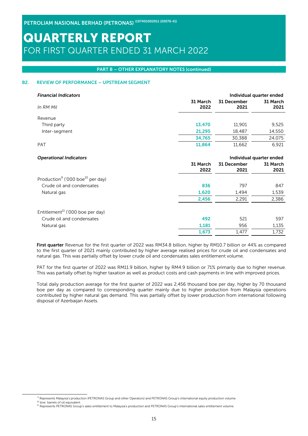#### PART B – OTHER EXPLANATORY NOTES (continued)

### B2. REVIEW OF PERFORMANCE – UPSTREAM SEGMENT

| <b>Financial Indicators</b>                              |                  |                          | Individual quarter ended |
|----------------------------------------------------------|------------------|--------------------------|--------------------------|
| In RM Mil                                                | 31 March<br>2022 | 31 December<br>2021      | 31 March<br>2021         |
| Revenue                                                  |                  |                          |                          |
| Third party                                              | 13,470           | 11,901                   | 9,525                    |
| Inter-segment                                            | 21,295           | 18,487                   | 14,550                   |
|                                                          | 34,765           | 30,388                   | 24,075                   |
| <b>PAT</b>                                               | 11,864           | 11,662                   | 6,921                    |
| <b>Operational Indicators</b>                            |                  | Individual quarter ended |                          |
|                                                          | 31 March<br>2022 | 31 December<br>2021      | 31 March<br>2021         |
| Production <sup>9</sup> ('000 boe <sup>10</sup> per day) |                  |                          |                          |
| Crude oil and condensates                                | 836              | 797                      | 847                      |
| Natural gas                                              | 1,620            | 1,494                    | 1,539                    |
|                                                          | 2,456            | 2,291                    | 2,386                    |
| Entitlement <sup>11</sup> ('000 boe per day)             |                  |                          |                          |
| Crude oil and condensates                                | 492              | 521                      | 597                      |
| Natural gas                                              | 1,181            | 956                      | 1,135                    |
|                                                          | 1,673            | 1,477                    | 1,732                    |
|                                                          |                  |                          |                          |

First quarter Revenue for the first quarter of 2022 was RM34.8 billion, higher by RM10.7 billion or 44% as compared to the first quarter of 2021 mainly contributed by higher average realised prices for crude oil and condensates and natural gas. This was partially offset by lower crude oil and condensates sales entitlement volume.

PAT for the first quarter of 2022 was RM11.9 billion, higher by RM4.9 billion or 71% primarily due to higher revenue. This was partially offset by higher taxation as well as product costs and cash payments in line with improved prices.

Total daily production average for the first quarter of 2022 was 2,456 thousand boe per day, higher by 70 thousand boe per day as compared to corresponding quarter mainly due to higher production from Malaysia operations contributed by higher natural gas demand. This was partially offset by lower production from international following disposal of Azerbaijan Assets.

<sup>9</sup> Represents Malaysia's production (PETRONAS Group and other Operators) and PETRONAS Group's international equity production volume.

<sup>&</sup>lt;sup>10</sup> boe: barrels of oil equivalent.

<sup>11</sup> Represents PETRONAS Group's sales entitlement to Malaysia's production and PETRONAS Group's international sales entitlement volume.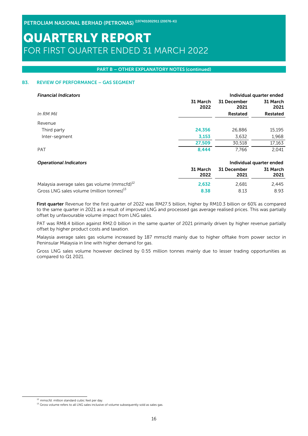#### PART B – OTHER EXPLANATORY NOTES (continued)

### B3. REVIEW OF PERFORMANCE – GAS SEGMENT

| <b>Financial Indicators</b>                              |                  |                     | Individual quarter ended |
|----------------------------------------------------------|------------------|---------------------|--------------------------|
|                                                          | 31 March<br>2022 | 31 December<br>2021 | 31 March<br>2021         |
| In RM Mil                                                |                  | Restated            | Restated                 |
| Revenue                                                  |                  |                     |                          |
| Third party                                              | 24,356           | 26.886              | 15,195                   |
| Inter-segment                                            | 3,153            | 3,632               | 1,968                    |
|                                                          | 27,509           | 30.518              | 17,163                   |
| <b>PAT</b>                                               | 8.444            | 7.766               | 2.041                    |
| <b>Operational Indicators</b>                            |                  |                     | Individual quarter ended |
|                                                          | 31 March         | 31 December         | 31 March                 |
|                                                          | 2022             | 2021                | 2021                     |
| Malaysia average sales gas volume (mmscfd) <sup>12</sup> | 2,632            | 2.681               | 2.445                    |

Gross LNG sales volume (million tonnes)<sup>13</sup> 8.93 8.93 8.93 8.13 8.93

First quarter Revenue for the first quarter of 2022 was RM27.5 billion, higher by RM10.3 billion or 60% as compared to the same quarter in 2021 as a result of improved LNG and processed gas average realised prices. This was partially offset by unfavourable volume impact from LNG sales.

PAT was RM8.4 billion against RM2.0 billion in the same quarter of 2021 primarily driven by higher revenue partially offset by higher product costs and taxation.

Malaysia average sales gas volume increased by 187 mmscfd mainly due to higher offtake from power sector in Peninsular Malaysia in line with higher demand for gas.

Gross LNG sales volume however declined by 0.55 million tonnes mainly due to lesser trading opportunities as compared to Q1 2021.

 $12$  mmscfd: million standard cubic feet per day.

<sup>&</sup>lt;sup>13</sup> Gross volume refers to all LNG sales inclusive of volume subsequently sold as sales gas.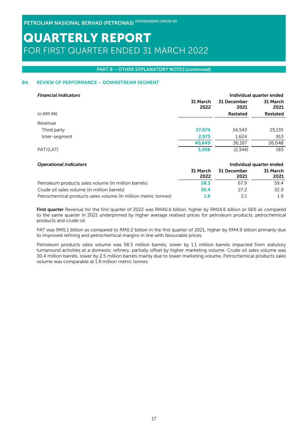### PART B – OTHER EXPLANATORY NOTES (continued)

### B4. REVIEW OF PERFORMANCE – DOWNSTREAM SEGMENT

| <b>Financial Indicators</b> |                  |                     | Individual quarter ended |
|-----------------------------|------------------|---------------------|--------------------------|
|                             | 31 March<br>2022 | 31 December<br>2021 | 31 March<br>2021         |
| In RM Mil                   |                  | Restated            | Restated                 |
| Revenue                     |                  |                     |                          |
| Third party                 | 37,674           | 34.543              | 25,135                   |
| Inter-segment               | 2,975            | 1,624               | 913                      |
|                             | 40,649           | 36,167              | 26,048                   |
| PAT/(LAT)                   | 5,056            | (2,344)             | 183                      |

| <b>Operational Indicators</b>                                  |                  |                     | Individual quarter ended |
|----------------------------------------------------------------|------------------|---------------------|--------------------------|
|                                                                | 31 March<br>2022 | 31 December<br>2021 | 31 March<br>2021         |
| Petroleum products sales volume (in million barrels)           | 58.3             | 67.9                | 59.4                     |
| Crude oil sales volume (in million barrels)                    | 30.4             | 272                 | 32.9                     |
| Petrochemical products sales volume (in million metric tonnes) | 1.9              | 21                  | 19                       |

First quarter Revenue for the first quarter of 2022 was RM40.6 billion, higher by RM14.6 billion or 56% as compared to the same quarter in 2021 underpinned by higher average realised prices for petroleum products, petrochemical products and crude oil.

PAT was RM5.1 billion as compared to RM0.2 billion in the first quarter of 2021, higher by RM4.9 billion primarily due to improved refining and petrochemical margins in line with favourable prices.

Petroleum products sales volume was 58.3 million barrels, lower by 1.1 million barrels impacted from statutory turnaround activities at a domestic refinery, partially offset by higher marketing volume. Crude oil sales volume was 30.4 million barrels, lower by 2.5 million barrels mainly due to lower marketing volume. Petrochemical products sales volume was comparable at 1.9 million metric tonnes.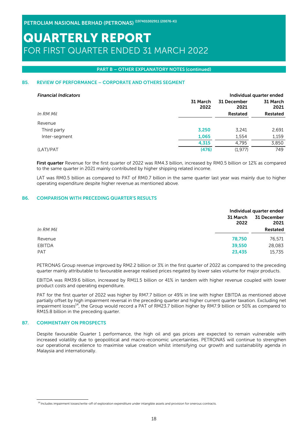#### PART B – OTHER EXPLANATORY NOTES (continued)

### B5. REVIEW OF PERFORMANCE – CORPORATE AND OTHERS SEGMENT

| <b>Financial Indicators</b> |                  |                  | Individual quarter ended |
|-----------------------------|------------------|------------------|--------------------------|
|                             | 31 March<br>2022 | 31 March<br>2021 |                          |
| In RM Mil                   |                  | Restated         | <b>Restated</b>          |
| Revenue                     |                  |                  |                          |
| Third party                 | 3,250            | 3,241            | 2,691                    |
| Inter-segment               | 1,065            | 1,554            | 1,159                    |
|                             | 4,315            | 4.795            | 3,850                    |
| (LAT)/PAT                   | (476)            | (1.977)          | 749                      |

First quarter Revenue for the first quarter of 2022 was RM4.3 billion, increased by RM0.5 billion or 12% as compared to the same quarter in 2021 mainly contributed by higher shipping related income.

LAT was RM0.5 billion as compared to PAT of RM0.7 billion in the same quarter last year was mainly due to higher operating expenditure despite higher revenue as mentioned above.

#### B6. COMPARISON WITH PRECEDING QUARTER'S RESULTS

|               |                  | Individual quarter ended |
|---------------|------------------|--------------------------|
|               | 31 March<br>2022 | 31 December<br>2021      |
| In RM Mil     |                  | Restated                 |
| Revenue       | 78,750           | 76,571                   |
| <b>EBITDA</b> | 39,550           | 28,083                   |
| <b>PAT</b>    | 23,435           | 15,735                   |

PETRONAS Group revenue improved by RM2.2 billion or 3% in the first quarter of 2022 as compared to the preceding quarter mainly attributable to favourable average realised prices negated by lower sales volume for major products.

EBITDA was RM39.6 billion, increased by RM11.5 billion or 41% in tandem with higher revenue coupled with lower product costs and operating expenditure.

PAT for the first quarter of 2022 was higher by RM7.7 billion or 49% in line with higher EBITDA as mentioned above partially offset by high impairment reversal in the preceding quarter and higher current quarter taxation. Excluding net impairment losses<sup>14</sup>, the Group would record a PAT of RM23.7 billion higher by RM7.9 billion or 50% as compared to RM15.8 billion in the preceding quarter.

### B7. COMMENTARY ON PROSPECTS

Despite favourable Quarter 1 performance, the high oil and gas prices are expected to remain vulnerable with increased volatility due to geopolitical and macro-economic uncertainties. PETRONAS will continue to strengthen our operational excellence to maximise value creation whilst intensifying our growth and sustainability agenda in Malaysia and internationally.

<sup>&</sup>lt;sup>14</sup> Includes impairment losses/write-off of exploration expenditure under intangible assets and provision for onerous contracts.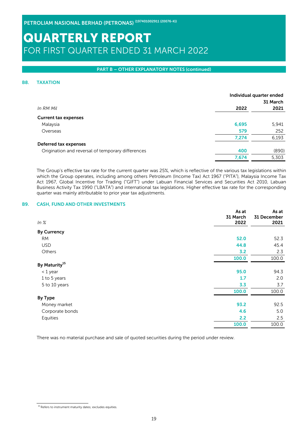#### PART B – OTHER EXPLANATORY NOTES (continued)

#### B8. TAXATION

|                                                   | Individual quarter ended | 31 March |
|---------------------------------------------------|--------------------------|----------|
| In RM Mil                                         | 2022                     | 2021     |
| <b>Current tax expenses</b>                       |                          |          |
| Malaysia                                          | 6,695                    | 5,941    |
| Overseas                                          | 579                      | 252      |
|                                                   | 7,274                    | 6,193    |
| Deferred tax expenses                             |                          |          |
| Origination and reversal of temporary differences | 400                      | (890)    |
|                                                   | 7,674                    | 5,303    |
|                                                   |                          |          |

The Group's effective tax rate for the current quarter was 25%, which is reflective of the various tax legislations within which the Group operates, including among others Petroleum (Income Tax) Act 1967 ("PITA"), Malaysia Income Tax Act 1967, Global Incentive for Trading ("GIFT") under Labuan Financial Services and Securities Act 2010, Labuan Business Activity Tax 1990 ("LBATA") and international tax legislations. Higher effective tax rate for the corresponding quarter was mainly attributable to prior year tax adjustments.

#### B9. CASH, FUND AND OTHER INVESTMENTS

|                           | As at<br>31 March | As at<br>31 December |
|---------------------------|-------------------|----------------------|
| $ln \,$ %                 | 2022              | 2021                 |
| <b>By Currency</b>        |                   |                      |
| <b>RM</b>                 | 52.0              | 52.3                 |
| <b>USD</b>                | 44.8              | 45.4                 |
| Others                    | 3.2               | 2.3                  |
|                           | 100.0             | 100.0                |
| By Maturity <sup>15</sup> |                   |                      |
| < 1 year                  | 95.0              | 94.3                 |
| 1 to 5 years              | 1.7               | 2.0                  |
| 5 to 10 years             | 3.3               | 3.7                  |
|                           | 100.0             | 100.0                |
| <b>By Type</b>            |                   |                      |
| Money market              | 93.2              | 92.5                 |
| Corporate bonds           | 4.6               | 5.0                  |
| Equities                  | 2.2               | 2.5                  |
|                           | 100.0             | 100.0                |

There was no material purchase and sale of quoted securities during the period under review.

 $^{15}$  Refers to instrument maturity dates; excludes equities.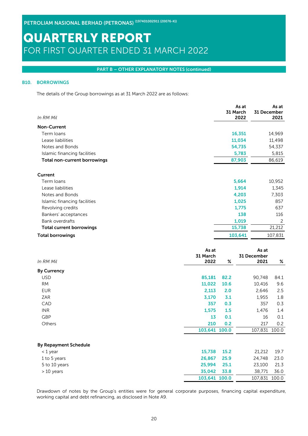#### PART B – OTHER EXPLANATORY NOTES (continued)

### B10. BORROWINGS

The details of the Group borrowings as at 31 March 2022 are as follows:

| In RM Mil                       |                         | As at<br>31 March<br>2022 | 31 December | As at<br>2021  |
|---------------------------------|-------------------------|---------------------------|-------------|----------------|
| <b>Non-Current</b>              |                         |                           |             |                |
| Term loans                      |                         | 16,351                    |             | 14,969         |
| Lease liabilities               |                         | 11,034                    |             | 11,498         |
| Notes and Bonds                 |                         | 54,735                    |             | 54,337         |
| Islamic financing facilities    |                         | 5,783                     |             | 5,815          |
| Total non-current borrowings    |                         | 87,903                    |             | 86,619         |
| Current                         |                         |                           |             |                |
| Term loans                      |                         | 5,664                     |             | 10,952         |
| Lease liabilities               |                         | 1,914                     |             | 1,345          |
| Notes and Bonds                 |                         | 4,203                     |             | 7,303          |
| Islamic financing facilities    |                         | 1,025                     |             | 857            |
| Revolving credits               |                         | 1,775                     |             | 637            |
| Bankers' acceptances            |                         | 138                       |             | 116            |
| <b>Bank overdrafts</b>          |                         | 1,019                     |             | $\overline{c}$ |
| <b>Total current borrowings</b> |                         | 15,738                    |             | 21,212         |
| <b>Total borrowings</b>         |                         | 103,641                   |             | 107,831        |
|                                 | As at                   |                           | As at       |                |
|                                 | 31 March                |                           | 31 December |                |
| In RM Mil                       | 2022                    | %                         | 2021        | $\%$           |
|                                 |                         |                           |             |                |
| <b>By Currency</b>              |                         |                           |             |                |
| <b>USD</b>                      | 85,181                  | 82.2                      | 90,748      | 84.1           |
| <b>RM</b>                       | 11,022                  | 10.6                      | 10,416      | 9.6            |
| <b>EUR</b>                      | 2,113                   | 2.0                       | 2,646       | 2.5            |
| ZAR                             | 3,170                   | 3.1                       | 1,955       | 1.8            |
| CAD                             | 357                     | 0.3                       | 357         | 0.3            |
| <b>INR</b>                      | 1,575                   | 1.5                       | 1,476       | 1.4            |
| <b>GBP</b>                      | 13                      | 0.1                       | 16          | 0.1            |
| Others                          | 210                     | 0.2                       | 217         | 0.2            |
|                                 | 103,641 100.0           |                           | 107,831     | 100.0          |
| <b>By Repayment Schedule</b>    |                         |                           |             |                |
| < 1 year                        | 15,738                  | 15.2                      | 21,212      | 19.7           |
| 1 to 5 years                    | 26,867                  | 25.9                      | 24,748      | 23.0           |
| 5 to 10 years                   | 25,994                  | 25.1                      | 23,100      | 21.3           |
| > 10 years                      | 35,042<br>103,641 100.0 | 33.8                      | 38,771      | 36.0<br>100.0  |

Drawdown of notes by the Group's entities were for general corporate purposes, financing capital expenditure, working capital and debt refinancing, as disclosed in Note A9.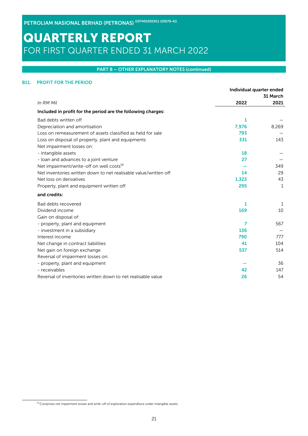### PART B – OTHER EXPLANATORY NOTES (continued)

### B11. PROFIT FOR THE PERIOD

|                                                                  | Individual quarter ended |          |
|------------------------------------------------------------------|--------------------------|----------|
|                                                                  |                          | 31 March |
| In RM Mil                                                        | 2022                     | 2021     |
| Included in profit for the period are the following charges:     |                          |          |
| Bad debts written off                                            | 1                        |          |
| Depreciation and amortisation                                    | 7,976                    | 8,269    |
| Loss on remeasurement of assets classified as held for sale      | 793                      |          |
| Loss on disposal of property, plant and equipments               | 331                      | 143      |
| Net impairment losses on:                                        |                          |          |
| - intangible assets                                              | 18                       |          |
| - loan and advances to a joint venture                           | 27                       |          |
| Net impairment/write-off on well costs <sup>16</sup>             |                          | 349      |
| Net inventories written down to net realisable value/written off | 14                       | 29       |
| Net loss on derivatives                                          | 1,323                    | 43       |
| Property, plant and equipment written off                        | 295                      | 1        |
| and credits:                                                     |                          |          |
| Bad debts recovered                                              | 1                        | 1        |
| Dividend income                                                  | 169                      | 10       |
| Gain on disposal of:                                             |                          |          |
| - property, plant and equipment                                  | 7                        | 567      |
| - investment in a subsidiary                                     | 136                      |          |
| Interest income                                                  | 790                      | 777      |
| Net change in contract liabilities                               | 41                       | 104      |
| Net gain on foreign exchange                                     | 537                      | 514      |
| Reversal of impairment losses on:                                |                          |          |
| - property, plant and equipment                                  |                          | 36       |
| - receivables                                                    | 42                       | 147      |
| Reversal of inventories written down to net realisable value     | 26                       | 54       |

 $16$  Comprises net impairment losses and write-off of exploration expenditure under intangible assets.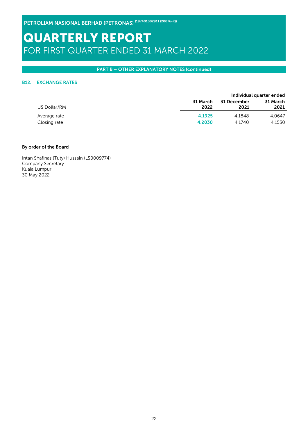PETROLIAM NASIONAL BERHAD (PETRONAS) (197401002911 (20076-K))

# QUARTERLY REPORT FOR FIRST QUARTER ENDED 31 MARCH 2022

### PART B – OTHER EXPLANATORY NOTES (continued)

### B12. EXCHANGE RATES

|              |          |             | Individual quarter ended |
|--------------|----------|-------------|--------------------------|
|              | 31 March | 31 December | 31 March                 |
| US Dollar/RM | 2022     | 2021        | 2021                     |
| Average rate | 4.1925   | 4.1848      | 4.0647                   |
| Closing rate | 4.2030   | 4.1740      | 4.1530                   |

### By order of the Board

Intan Shafinas (Tuty) Hussain (LS0009774) Company Secretary Kuala Lumpur 30 May 2022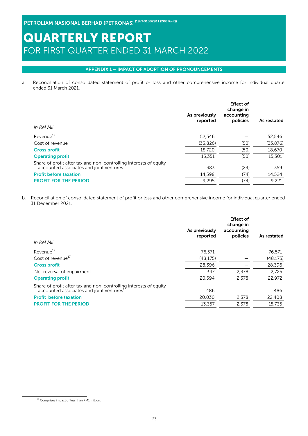### APPENDIX 1 – IMPACT OF ADOPTION OF PRONOUNCEMENTS

a. Reconciliation of consolidated statement of profit or loss and other comprehensive income for individual quarter ended 31 March 2021.

| In RM Mil                                                                                                    | As previously<br>reported | <b>Effect of</b><br>change in<br>accounting<br>policies | As restated |
|--------------------------------------------------------------------------------------------------------------|---------------------------|---------------------------------------------------------|-------------|
| Revenue <sup>17</sup>                                                                                        | 52.546                    |                                                         | 52,546      |
| Cost of revenue                                                                                              | (33,826)                  | (50)                                                    | (33, 876)   |
| <b>Gross profit</b>                                                                                          | 18,720                    | (50)                                                    | 18,670      |
| <b>Operating profit</b>                                                                                      | 15,351                    | (50)                                                    | 15,301      |
| Share of profit after tax and non-controlling interests of equity<br>accounted associates and joint ventures | 383                       | (24)                                                    | 359         |
| <b>Profit before taxation</b>                                                                                | 14.598                    | (74)                                                    | 14,524      |
| <b>PROFIT FOR THE PERIOD</b>                                                                                 | 9,295                     | (74)                                                    | 9,221       |
|                                                                                                              |                           |                                                         |             |

b. Reconciliation of consolidated statement of profit or loss and other comprehensive income for individual quarter ended 31 December 2021.

| In RM Mil                                                                                                                  | As previously<br>reported | <b>Effect of</b><br>change in<br>accounting<br>policies | As restated |
|----------------------------------------------------------------------------------------------------------------------------|---------------------------|---------------------------------------------------------|-------------|
| Revenue <sup>17</sup>                                                                                                      | 76,571                    |                                                         | 76,571      |
| Cost of revenue <sup>17</sup>                                                                                              | (48, 175)                 |                                                         | (48, 175)   |
| <b>Gross profit</b>                                                                                                        | 28,396                    |                                                         | 28,396      |
| Net reversal of impairment                                                                                                 | 347                       | 2.378                                                   | 2.725       |
| <b>Operating profit</b>                                                                                                    | 20.594                    | 2.378                                                   | 22.972      |
| Share of profit after tax and non-controlling interests of equity<br>accounted associates and joint ventures <sup>17</sup> | 486                       |                                                         | 486         |
| <b>Profit before taxation</b>                                                                                              | 20,030                    | 2,378                                                   | 22,408      |
| <b>PROFIT FOR THE PERIOD</b>                                                                                               | 13,357                    | 2,378                                                   | 15,735      |

<sup>&</sup>lt;sup>17</sup> Comprises impact of less than RM1 million.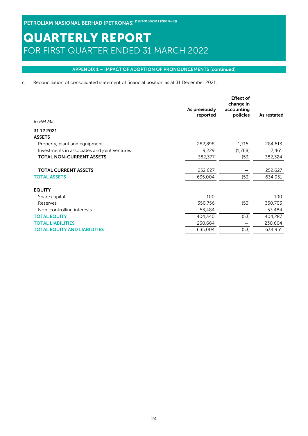### APPENDIX 1 – IMPACT OF ADOPTION OF PRONOUNCEMENTS (continued)

c. Reconciliation of consolidated statement of financial position as at 31 December 2021.

| In RM Mil                                    | As previously<br>reported | <b>Effect of</b><br>change in<br>accounting<br>policies | As restated |
|----------------------------------------------|---------------------------|---------------------------------------------------------|-------------|
| 31.12.2021                                   |                           |                                                         |             |
| <b>ASSETS</b>                                |                           |                                                         |             |
| Property, plant and equipment                | 282,898                   | 1,715                                                   | 284,613     |
| Investments in associates and joint ventures | 9,229                     | (1,768)                                                 | 7,461       |
| <b>TOTAL NON-CURRENT ASSETS</b>              | 382,377                   | (53)                                                    | 382,324     |
|                                              |                           |                                                         |             |
| <b>TOTAL CURRENT ASSETS</b>                  | 252,627                   |                                                         | 252,627     |
| <b>TOTAL ASSETS</b>                          | 635,004                   | (53)                                                    | 634,951     |
| <b>EQUITY</b>                                |                           |                                                         |             |
| Share capital                                | 100                       |                                                         | 100         |
| Reserves                                     | 350,756                   | (53)                                                    | 350,703     |
| Non-controlling interests                    | 53,484                    |                                                         | 53,484      |
| <b>TOTAL EQUITY</b>                          | 404,340                   | (53)                                                    | 404,287     |
| <b>TOTAL LIABILITIES</b>                     | 230,664                   |                                                         | 230,664     |
| <b>TOTAL EQUITY AND LIABILITIES</b>          | 635,004                   | (53)                                                    | 634,951     |